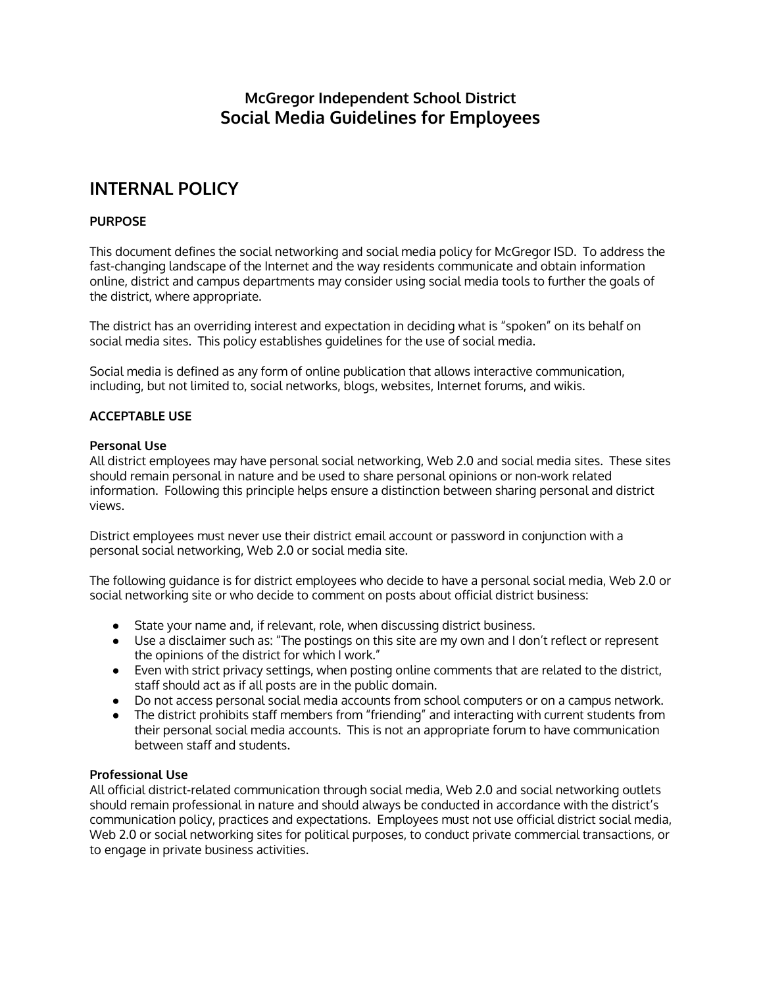## **McGregor Independent School District Social Media Guidelines for Employees**

# **INTERNAL POLICY**

### **PURPOSE**

This document defines the social networking and social media policy for McGregor ISD. To address the fast-changing landscape of the Internet and the way residents communicate and obtain information online, district and campus departments may consider using social media tools to further the goals of the district, where appropriate.

The district has an overriding interest and expectation in deciding what is "spoken" on its behalf on social media sites. This policy establishes guidelines for the use of social media.

Social media is defined as any form of online publication that allows interactive communication, including, but not limited to, social networks, blogs, websites, Internet forums, and wikis.

#### **ACCEPTABLE USE**

#### **Personal Use**

All district employees may have personal social networking, Web 2.0 and social media sites. These sites should remain personal in nature and be used to share personal opinions or non-work related information. Following this principle helps ensure a distinction between sharing personal and district views.

District employees must never use their district email account or password in conjunction with a personal social networking, Web 2.0 or social media site.

The following guidance is for district employees who decide to have a personal social media, Web 2.0 or social networking site or who decide to comment on posts about official district business:

- State your name and, if relevant, role, when discussing district business.
- Use a disclaimer such as: "The postings on this site are my own and I don't reflect or represent the opinions of the district for which I work."
- Even with strict privacy settings, when posting online comments that are related to the district, staff should act as if all posts are in the public domain.
- Do not access personal social media accounts from school computers or on a campus network.
- The district prohibits staff members from "friending" and interacting with current students from their personal social media accounts. This is not an appropriate forum to have communication between staff and students.

#### **Professional Use**

All official district-related communication through social media, Web 2.0 and social networking outlets should remain professional in nature and should always be conducted in accordance with the district's communication policy, practices and expectations. Employees must not use official district social media, Web 2.0 or social networking sites for political purposes, to conduct private commercial transactions, or to engage in private business activities.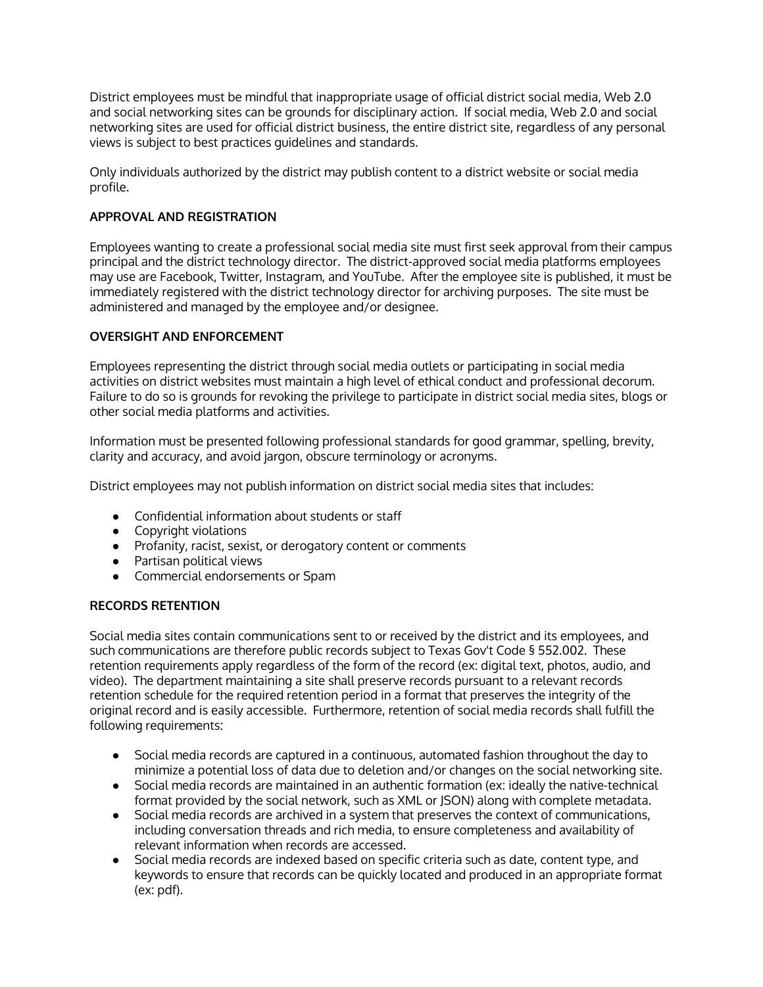District employees must be mindful that inappropriate usage of official district social media, Web 2.0 and social networking sites can be grounds for disciplinary action. If social media, Web 2.0 and social networking sites are used for official district business, the entire district site, regardless of any personal views is subject to best practices guidelines and standards.

Only individuals authorized by the district may publish content to a district website or social media profile.

### **APPROVAL AND REGISTRATION**

Employees wanting to create a professional social media site must first seek approval from their campus principal and the district technology director. The district-approved social media platforms employees may use are Facebook, Twitter, Instagram, and YouTube. After the employee site is published, it must be immediately registered with the district technology director for archiving purposes. The site must be administered and managed by the employee and/or designee.

#### **OVERSIGHT AND ENFORCEMENT**

Employees representing the district through social media outlets or participating in social media activities on district websites must maintain a high level of ethical conduct and professional decorum. Failure to do so is grounds for revoking the privilege to participate in district social media sites, blogs or other social media platforms and activities.

Information must be presented following professional standards for good grammar, spelling, brevity, clarity and accuracy, and avoid jargon, obscure terminology or acronyms.

District employees may not publish information on district social media sites that includes:

- Confidential information about students or staff
- Copyright violations
- Profanity, racist, sexist, or derogatory content or comments
- Partisan political views
- Commercial endorsements or Spam

#### **RECORDS RETENTION**

Social media sites contain communications sent to or received by the district and its employees, and such communications are therefore public records subject to Texas Gov't Code § 552.002. These retention requirements apply regardless of the form of the record (ex: digital text, photos, audio, and video). The department maintaining a site shall preserve records pursuant to a relevant records retention schedule for the required retention period in a format that preserves the integrity of the original record and is easily accessible. Furthermore, retention of social media records shall fulfill the following requirements:

- Social media records are captured in a continuous, automated fashion throughout the day to minimize a potential loss of data due to deletion and/or changes on the social networking site.
- Social media records are maintained in an authentic formation (ex: ideally the native-technical format provided by the social network, such as XML or JSON) along with complete metadata.
- Social media records are archived in a system that preserves the context of communications, including conversation threads and rich media, to ensure completeness and availability of relevant information when records are accessed.
- Social media records are indexed based on specific criteria such as date, content type, and keywords to ensure that records can be quickly located and produced in an appropriate format (ex: pdf).